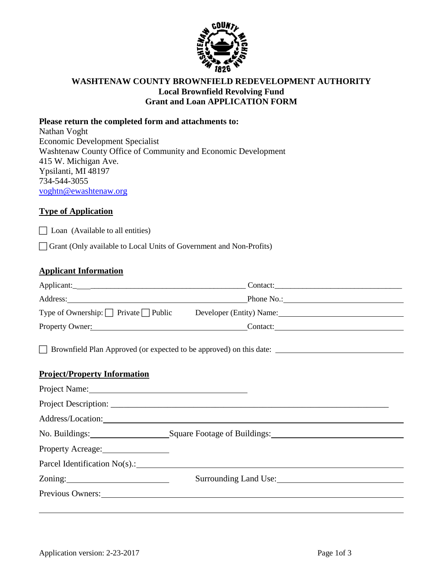

### **WASHTENAW COUNTY BROWNFIELD REDEVELOPMENT AUTHORITY Local Brownfield Revolving Fund Grant and Loan APPLICATION FORM**

#### **Please return the completed form and attachments to:**

Nathan Voght Economic Development Specialist Washtenaw County Office of Community and Economic Development 415 W. Michigan Ave. Ypsilanti, MI 48197 734-544-3055 [voghtn@ewashtenaw.org](mailto:voghtn@ewashtenaw.org)

### **Type of Application**

 $\Box$  Loan (Available to all entities)

Grant (Only available to Local Units of Government and Non-Profits)

#### **Applicant Information**

|                                                                                                                | Address: Phone No.: Phone No.:                                                                                                                                                                                                 |  |
|----------------------------------------------------------------------------------------------------------------|--------------------------------------------------------------------------------------------------------------------------------------------------------------------------------------------------------------------------------|--|
|                                                                                                                | Type of Ownership: Private Public Developer (Entity) Name:                                                                                                                                                                     |  |
|                                                                                                                | Property Owner: Contact: Contact:                                                                                                                                                                                              |  |
|                                                                                                                | □ Brownfield Plan Approved (or expected to be approved) on this date:                                                                                                                                                          |  |
| <b>Project/Property Information</b>                                                                            |                                                                                                                                                                                                                                |  |
|                                                                                                                |                                                                                                                                                                                                                                |  |
|                                                                                                                |                                                                                                                                                                                                                                |  |
|                                                                                                                |                                                                                                                                                                                                                                |  |
|                                                                                                                |                                                                                                                                                                                                                                |  |
|                                                                                                                |                                                                                                                                                                                                                                |  |
|                                                                                                                | Parcel Identification $No(s)$ .:                                                                                                                                                                                               |  |
| Zoning: 2000 and 2000 and 2000 and 2000 and 2000 and 2000 and 2000 and 2000 and 2000 and 2000 and 2000 and 200 | Surrounding Land Use:                                                                                                                                                                                                          |  |
|                                                                                                                | Previous Owners: New York Contract the Contract of the Contract of the Contract of the Contract of the Contract of the Contract of the Contract of the Contract of the Contract of the Contract of the Contract of the Contrac |  |
|                                                                                                                |                                                                                                                                                                                                                                |  |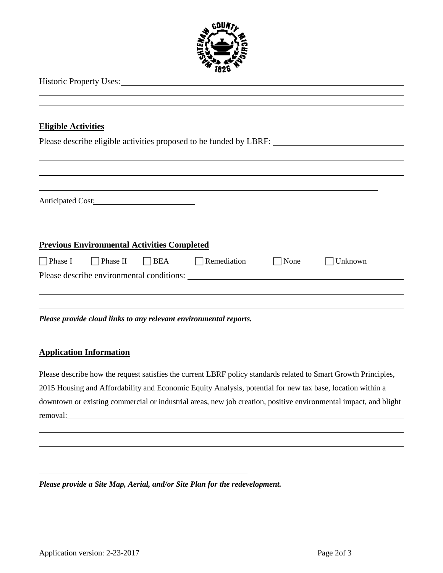

|  | <b>Historic Property Uses:</b> |
|--|--------------------------------|
|--|--------------------------------|

#### **Eligible Activities**

Please describe eligible activities proposed to be funded by LBRF:

|                |                                                    | Anticipated Cost:          |                                           |             |         |
|----------------|----------------------------------------------------|----------------------------|-------------------------------------------|-------------|---------|
|                |                                                    |                            |                                           |             |         |
|                | <b>Previous Environmental Activities Completed</b> |                            |                                           |             |         |
| $\Box$ Phase I |                                                    | $\Box$ Phase II $\Box$ BEA | $\Box$ Remediation                        | $\Box$ None | Unknown |
|                |                                                    |                            | Please describe environmental conditions: |             |         |

*Please provide cloud links to any relevant environmental reports.*

#### **Application Information**

Please describe how the request satisfies the current LBRF policy standards related to Smart Growth Principles, 2015 Housing and Affordability and Economic Equity Analysis, potential for new tax base, location within a downtown or existing commercial or industrial areas, new job creation, positive environmental impact, and blight removal:

*Please provide a Site Map, Aerial, and/or Site Plan for the redevelopment.*